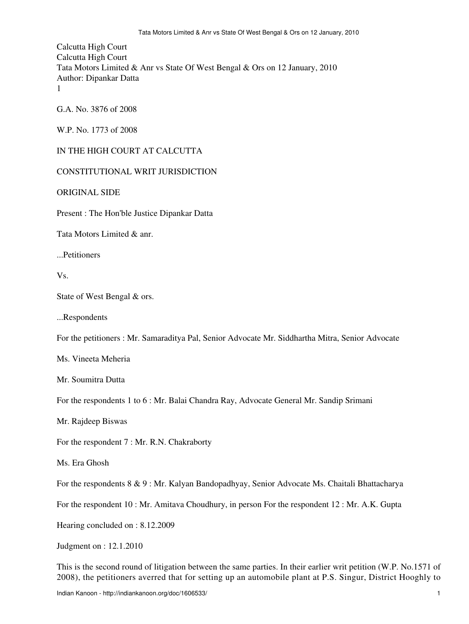Calcutta High Court Calcutta High Court Tata Motors Limited & Anr vs State Of West Bengal & Ors on 12 January, 2010 Author: Dipankar Datta 1

G.A. No. 3876 of 2008

W.P. No. 1773 of 2008

## IN THE HIGH COURT AT CALCUTTA

## CONSTITUTIONAL WRIT JURISDICTION

ORIGINAL SIDE

Present : The Hon'ble Justice Dipankar Datta

Tata Motors Limited & anr.

...Petitioners

Vs.

State of West Bengal & ors.

...Respondents

For the petitioners : Mr. Samaraditya Pal, Senior Advocate Mr. Siddhartha Mitra, Senior Advocate

Ms. Vineeta Meheria

Mr. Soumitra Dutta

For the respondents 1 to 6 : Mr. Balai Chandra Ray, Advocate General Mr. Sandip Srimani

Mr. Rajdeep Biswas

For the respondent 7 : Mr. R.N. Chakraborty

Ms. Era Ghosh

For the respondents 8 & 9 : Mr. Kalyan Bandopadhyay, Senior Advocate Ms. Chaitali Bhattacharya

For the respondent 10 : Mr. Amitava Choudhury, in person For the respondent 12 : Mr. A.K. Gupta

Hearing concluded on : 8.12.2009

Judgment on : 12.1.2010

This is the second round of litigation between the same parties. In their earlier writ petition (W.P. No.1571 of 2008), the petitioners averred that for setting up an automobile plant at P.S. Singur, District Hooghly to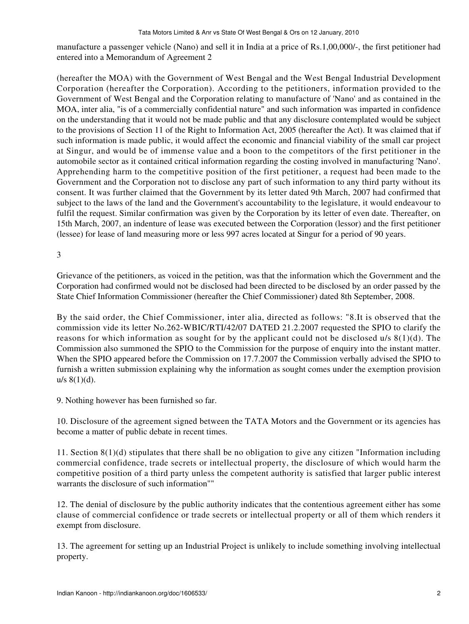manufacture a passenger vehicle (Nano) and sell it in India at a price of Rs.1,00,000/-, the first petitioner had entered into a Memorandum of Agreement 2

(hereafter the MOA) with the Government of West Bengal and the West Bengal Industrial Development Corporation (hereafter the Corporation). According to the petitioners, information provided to the Government of West Bengal and the Corporation relating to manufacture of 'Nano' and as contained in the MOA, inter alia, "is of a commercially confidential nature" and such information was imparted in confidence on the understanding that it would not be made public and that any disclosure contemplated would be subject to the provisions of Section 11 of the Right to Information Act, 2005 (hereafter the Act). It was claimed that if such information is made public, it would affect the economic and financial viability of the small car project at Singur, and would be of immense value and a boon to the competitors of the first petitioner in the automobile sector as it contained critical information regarding the costing involved in manufacturing 'Nano'. Apprehending harm to the competitive position of the first petitioner, a request had been made to the Government and the Corporation not to disclose any part of such information to any third party without its consent. It was further claimed that the Government by its letter dated 9th March, 2007 had confirmed that subject to the laws of the land and the Government's accountability to the legislature, it would endeavour to fulfil the request. Similar confirmation was given by the Corporation by its letter of even date. Thereafter, on 15th March, 2007, an indenture of lease was executed between the Corporation (lessor) and the first petitioner (lessee) for lease of land measuring more or less 997 acres located at Singur for a period of 90 years.

3

Grievance of the petitioners, as voiced in the petition, was that the information which the Government and the Corporation had confirmed would not be disclosed had been directed to be disclosed by an order passed by the State Chief Information Commissioner (hereafter the Chief Commissioner) dated 8th September, 2008.

By the said order, the Chief Commissioner, inter alia, directed as follows: "8.It is observed that the commission vide its letter No.262-WBIC/RTI/42/07 DATED 21.2.2007 requested the SPIO to clarify the reasons for which information as sought for by the applicant could not be disclosed u/s 8(1)(d). The Commission also summoned the SPIO to the Commission for the purpose of enquiry into the instant matter. When the SPIO appeared before the Commission on 17.7.2007 the Commission verbally advised the SPIO to furnish a written submission explaining why the information as sought comes under the exemption provision  $u/s \ 8(1)(d)$ .

9. Nothing however has been furnished so far.

10. Disclosure of the agreement signed between the TATA Motors and the Government or its agencies has become a matter of public debate in recent times.

11. Section 8(1)(d) stipulates that there shall be no obligation to give any citizen "Information including commercial confidence, trade secrets or intellectual property, the disclosure of which would harm the competitive position of a third party unless the competent authority is satisfied that larger public interest warrants the disclosure of such information""

12. The denial of disclosure by the public authority indicates that the contentious agreement either has some clause of commercial confidence or trade secrets or intellectual property or all of them which renders it exempt from disclosure.

13. The agreement for setting up an Industrial Project is unlikely to include something involving intellectual property.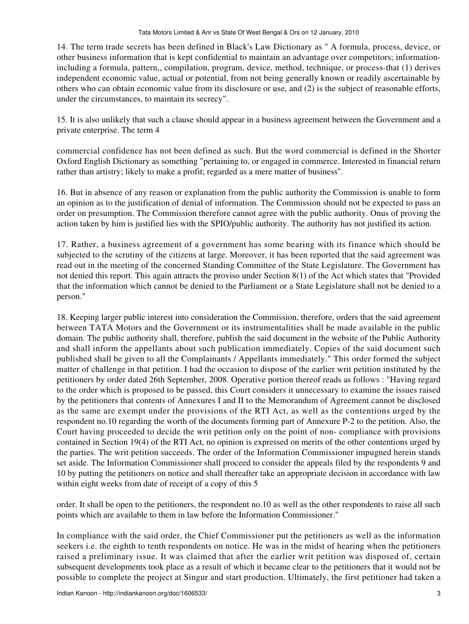14. The term trade secrets has been defined in Black's Law Dictionary as " A formula, process, device, or other business information that is kept confidential to maintain an advantage over competitors; informationincluding a formula, pattern,, compilation, program, device, method, technique, or process-that (1) derives independent economic value, actual or potential, from not being generally known or readily ascertainable by others who can obtain economic value from its disclosure or use, and (2) is the subject of reasonable efforts, under the circumstances, to maintain its secrecy".

15. It is also unlikely that such a clause should appear in a business agreement between the Government and a private enterprise. The term 4

commercial confidence has not been defined as such. But the word commercial is defined in the Shorter Oxford English Dictionary as something "pertaining to, or engaged in commerce. Interested in financial return rather than artistry; likely to make a profit; regarded as a mere matter of business".

16. But in absence of any reason or explanation from the public authority the Commission is unable to form an opinion as to the justification of denial of information. The Commission should not be expected to pass an order on presumption. The Commission therefore cannot agree with the public authority. Onus of proving the action taken by him is justified lies with the SPIO/public authority. The authority has not justified its action.

17. Rather, a business agreement of a government has some bearing with its finance which should be subjected to the scrutiny of the citizens at large. Moreover, it has been reported that the said agreement was read out in the meeting of the concerned Standing Committee of the State Legislature. The Government has not denied this report. This again attracts the proviso under Section 8(1) of the Act which states that "Provided that the information which cannot be denied to the Parliament or a State Legislature shall not be denied to a person."

18. Keeping larger public interest into consideration the Commission, therefore, orders that the said agreement between TATA Motors and the Government or its instrumentalities shall be made available in the public domain. The public authority shall, therefore, publish the said document in the website of the Public Authority and shall inform the appellants about such publication immediately. Copies of the said document such published shall be given to all the Complainants / Appellants immediately." This order formed the subject matter of challenge in that petition. I had the occasion to dispose of the earlier writ petition instituted by the petitioners by order dated 26th September, 2008. Operative portion thereof reads as follows : "Having regard to the order which is proposed to be passed, this Court considers it unnecessary to examine the issues raised by the petitioners that contents of Annexures I and II to the Memorandum of Agreement cannot be disclosed as the same are exempt under the provisions of the RTI Act, as well as the contentions urged by the respondent no.10 regarding the worth of the documents forming part of Annexure P-2 to the petition. Also, the Court having proceeded to decide the writ petition only on the point of non- compliance with provisions contained in Section 19(4) of the RTI Act, no opinion is expressed on merits of the other contentions urged by the parties. The writ petition succeeds. The order of the Information Commissioner impugned herein stands set aside. The Information Commissioner shall proceed to consider the appeals filed by the respondents 9 and 10 by putting the petitioners on notice and shall thereafter take an appropriate decision in accordance with law within eight weeks from date of receipt of a copy of this 5

order. It shall be open to the petitioners, the respondent no.10 as well as the other respondents to raise all such points which are available to them in law before the Information Commissioner."

In compliance with the said order, the Chief Commissioner put the petitioners as well as the information seekers i.e. the eighth to tenth respondents on notice. He was in the midst of hearing when the petitioners raised a preliminary issue. It was claimed that after the earlier writ petition was disposed of, certain subsequent developments took place as a result of which it became clear to the petitioners that it would not be possible to complete the project at Singur and start production. Ultimately, the first petitioner had taken a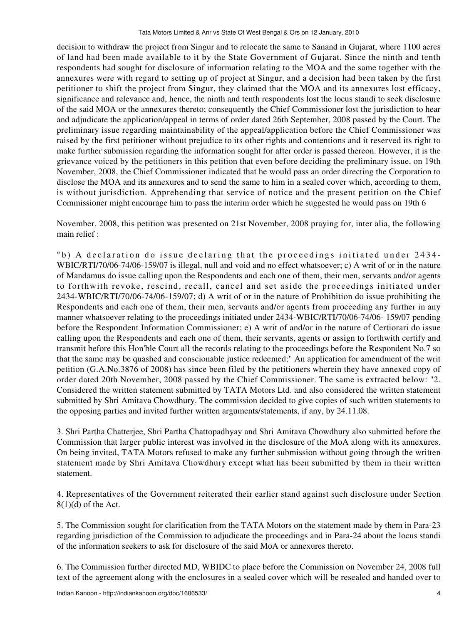decision to withdraw the project from Singur and to relocate the same to Sanand in Gujarat, where 1100 acres of land had been made available to it by the State Government of Gujarat. Since the ninth and tenth respondents had sought for disclosure of information relating to the MOA and the same together with the annexures were with regard to setting up of project at Singur, and a decision had been taken by the first petitioner to shift the project from Singur, they claimed that the MOA and its annexures lost efficacy, significance and relevance and, hence, the ninth and tenth respondents lost the locus standi to seek disclosure of the said MOA or the annexures thereto; consequently the Chief Commissioner lost the jurisdiction to hear and adjudicate the application/appeal in terms of order dated 26th September, 2008 passed by the Court. The preliminary issue regarding maintainability of the appeal/application before the Chief Commissioner was raised by the first petitioner without prejudice to its other rights and contentions and it reserved its right to make further submission regarding the information sought for after order is passed thereon. However, it is the grievance voiced by the petitioners in this petition that even before deciding the preliminary issue, on 19th November, 2008, the Chief Commissioner indicated that he would pass an order directing the Corporation to disclose the MOA and its annexures and to send the same to him in a sealed cover which, according to them, is without jurisdiction. Apprehending that service of notice and the present petition on the Chief Commissioner might encourage him to pass the interim order which he suggested he would pass on 19th 6

November, 2008, this petition was presented on 21st November, 2008 praying for, inter alia, the following main relief :

"b) A declaration do issue declaring that the proceedings initiated under 2434- WBIC/RTI/70/06-74/06-159/07 is illegal, null and void and no effect whatsoever; c) A writ of or in the nature of Mandamus do issue calling upon the Respondents and each one of them, their men, servants and/or agents to forthwith revoke, rescind, recall, cancel and set aside the proceedings initiated under 2434-WBIC/RTI/70/06-74/06-159/07; d) A writ of or in the nature of Prohibition do issue prohibiting the Respondents and each one of them, their men, servants and/or agents from proceeding any further in any manner whatsoever relating to the proceedings initiated under 2434-WBIC/RTI/70/06-74/06- 159/07 pending before the Respondent Information Commissioner; e) A writ of and/or in the nature of Certiorari do issue calling upon the Respondents and each one of them, their servants, agents or assign to forthwith certify and transmit before this Hon'ble Court all the records relating to the proceedings before the Respondent No.7 so that the same may be quashed and conscionable justice redeemed;" An application for amendment of the writ petition (G.A.No.3876 of 2008) has since been filed by the petitioners wherein they have annexed copy of order dated 20th November, 2008 passed by the Chief Commissioner. The same is extracted below: "2. Considered the written statement submitted by TATA Motors Ltd. and also considered the written statement submitted by Shri Amitava Chowdhury. The commission decided to give copies of such written statements to the opposing parties and invited further written arguments/statements, if any, by 24.11.08.

3. Shri Partha Chatterjee, Shri Partha Chattopadhyay and Shri Amitava Chowdhury also submitted before the Commission that larger public interest was involved in the disclosure of the MoA along with its annexures. On being invited, TATA Motors refused to make any further submission without going through the written statement made by Shri Amitava Chowdhury except what has been submitted by them in their written statement.

4. Representatives of the Government reiterated their earlier stand against such disclosure under Section  $8(1)(d)$  of the Act.

5. The Commission sought for clarification from the TATA Motors on the statement made by them in Para-23 regarding jurisdiction of the Commission to adjudicate the proceedings and in Para-24 about the locus standi of the information seekers to ask for disclosure of the said MoA or annexures thereto.

6. The Commission further directed MD, WBIDC to place before the Commission on November 24, 2008 full text of the agreement along with the enclosures in a sealed cover which will be resealed and handed over to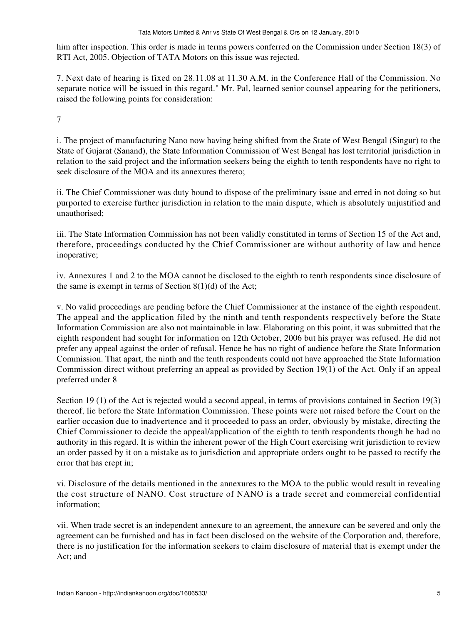him after inspection. This order is made in terms powers conferred on the Commission under Section 18(3) of RTI Act, 2005. Objection of TATA Motors on this issue was rejected.

7. Next date of hearing is fixed on 28.11.08 at 11.30 A.M. in the Conference Hall of the Commission. No separate notice will be issued in this regard." Mr. Pal, learned senior counsel appearing for the petitioners, raised the following points for consideration:

7

i. The project of manufacturing Nano now having being shifted from the State of West Bengal (Singur) to the State of Gujarat (Sanand), the State Information Commission of West Bengal has lost territorial jurisdiction in relation to the said project and the information seekers being the eighth to tenth respondents have no right to seek disclosure of the MOA and its annexures thereto;

ii. The Chief Commissioner was duty bound to dispose of the preliminary issue and erred in not doing so but purported to exercise further jurisdiction in relation to the main dispute, which is absolutely unjustified and unauthorised;

iii. The State Information Commission has not been validly constituted in terms of Section 15 of the Act and, therefore, proceedings conducted by the Chief Commissioner are without authority of law and hence inoperative;

iv. Annexures 1 and 2 to the MOA cannot be disclosed to the eighth to tenth respondents since disclosure of the same is exempt in terms of Section  $8(1)(d)$  of the Act;

v. No valid proceedings are pending before the Chief Commissioner at the instance of the eighth respondent. The appeal and the application filed by the ninth and tenth respondents respectively before the State Information Commission are also not maintainable in law. Elaborating on this point, it was submitted that the eighth respondent had sought for information on 12th October, 2006 but his prayer was refused. He did not prefer any appeal against the order of refusal. Hence he has no right of audience before the State Information Commission. That apart, the ninth and the tenth respondents could not have approached the State Information Commission direct without preferring an appeal as provided by Section 19(1) of the Act. Only if an appeal preferred under 8

Section 19 (1) of the Act is rejected would a second appeal, in terms of provisions contained in Section 19(3) thereof, lie before the State Information Commission. These points were not raised before the Court on the earlier occasion due to inadvertence and it proceeded to pass an order, obviously by mistake, directing the Chief Commissioner to decide the appeal/application of the eighth to tenth respondents though he had no authority in this regard. It is within the inherent power of the High Court exercising writ jurisdiction to review an order passed by it on a mistake as to jurisdiction and appropriate orders ought to be passed to rectify the error that has crept in;

vi. Disclosure of the details mentioned in the annexures to the MOA to the public would result in revealing the cost structure of NANO. Cost structure of NANO is a trade secret and commercial confidential information;

vii. When trade secret is an independent annexure to an agreement, the annexure can be severed and only the agreement can be furnished and has in fact been disclosed on the website of the Corporation and, therefore, there is no justification for the information seekers to claim disclosure of material that is exempt under the Act; and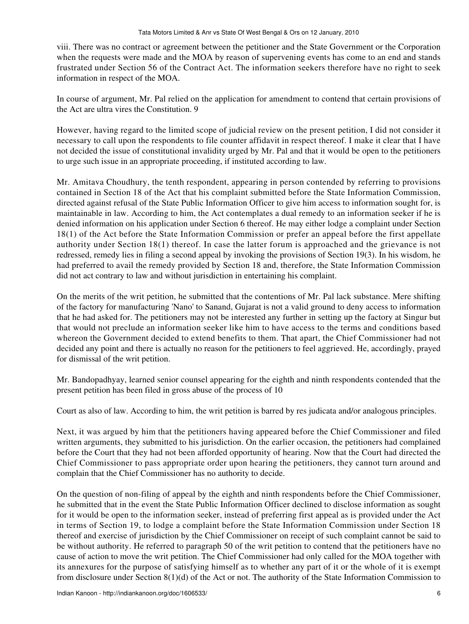viii. There was no contract or agreement between the petitioner and the State Government or the Corporation when the requests were made and the MOA by reason of supervening events has come to an end and stands frustrated under Section 56 of the Contract Act. The information seekers therefore have no right to seek information in respect of the MOA.

In course of argument, Mr. Pal relied on the application for amendment to contend that certain provisions of the Act are ultra vires the Constitution. 9

However, having regard to the limited scope of judicial review on the present petition, I did not consider it necessary to call upon the respondents to file counter affidavit in respect thereof. I make it clear that I have not decided the issue of constitutional invalidity urged by Mr. Pal and that it would be open to the petitioners to urge such issue in an appropriate proceeding, if instituted according to law.

Mr. Amitava Choudhury, the tenth respondent, appearing in person contended by referring to provisions contained in Section 18 of the Act that his complaint submitted before the State Information Commission, directed against refusal of the State Public Information Officer to give him access to information sought for, is maintainable in law. According to him, the Act contemplates a dual remedy to an information seeker if he is denied information on his application under Section 6 thereof. He may either lodge a complaint under Section 18(1) of the Act before the State Information Commission or prefer an appeal before the first appellate authority under Section 18(1) thereof. In case the latter forum is approached and the grievance is not redressed, remedy lies in filing a second appeal by invoking the provisions of Section 19(3). In his wisdom, he had preferred to avail the remedy provided by Section 18 and, therefore, the State Information Commission did not act contrary to law and without jurisdiction in entertaining his complaint.

On the merits of the writ petition, he submitted that the contentions of Mr. Pal lack substance. Mere shifting of the factory for manufacturing 'Nano' to Sanand, Gujarat is not a valid ground to deny access to information that he had asked for. The petitioners may not be interested any further in setting up the factory at Singur but that would not preclude an information seeker like him to have access to the terms and conditions based whereon the Government decided to extend benefits to them. That apart, the Chief Commissioner had not decided any point and there is actually no reason for the petitioners to feel aggrieved. He, accordingly, prayed for dismissal of the writ petition.

Mr. Bandopadhyay, learned senior counsel appearing for the eighth and ninth respondents contended that the present petition has been filed in gross abuse of the process of 10

Court as also of law. According to him, the writ petition is barred by res judicata and/or analogous principles.

Next, it was argued by him that the petitioners having appeared before the Chief Commissioner and filed written arguments, they submitted to his jurisdiction. On the earlier occasion, the petitioners had complained before the Court that they had not been afforded opportunity of hearing. Now that the Court had directed the Chief Commissioner to pass appropriate order upon hearing the petitioners, they cannot turn around and complain that the Chief Commissioner has no authority to decide.

On the question of non-filing of appeal by the eighth and ninth respondents before the Chief Commissioner, he submitted that in the event the State Public Information Officer declined to disclose information as sought for it would be open to the information seeker, instead of preferring first appeal as is provided under the Act in terms of Section 19, to lodge a complaint before the State Information Commission under Section 18 thereof and exercise of jurisdiction by the Chief Commissioner on receipt of such complaint cannot be said to be without authority. He referred to paragraph 50 of the writ petition to contend that the petitioners have no cause of action to move the writ petition. The Chief Commissioner had only called for the MOA together with its annexures for the purpose of satisfying himself as to whether any part of it or the whole of it is exempt from disclosure under Section 8(1)(d) of the Act or not. The authority of the State Information Commission to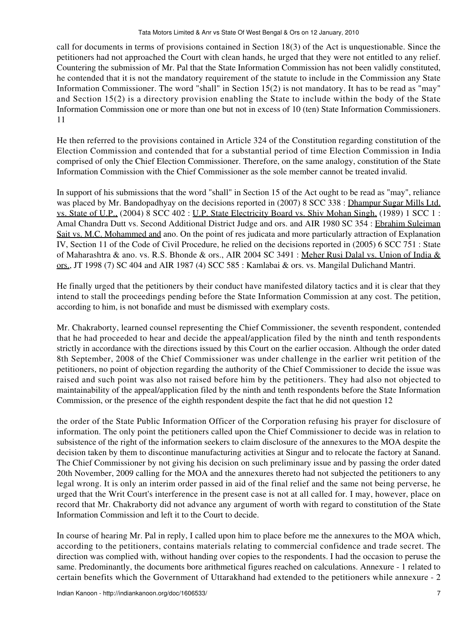call for documents in terms of provisions contained in Section 18(3) of the Act is unquestionable. Since the petitioners had not approached the Court with clean hands, he urged that they were not entitled to any relief. Countering the submission of Mr. Pal that the State Information Commission has not been validly constituted, he contended that it is not the mandatory requirement of the statute to include in the Commission any State Information Commissioner. The word "shall" in Section 15(2) is not mandatory. It has to be read as "may" and Section 15(2) is a directory provision enabling the State to include within the body of the State Information Commission one or more than one but not in excess of 10 (ten) State Information Commissioners. 11

He then referred to the provisions contained in Article 324 of the Constitution regarding constitution of the Election Commission and contended that for a substantial period of time Election Commission in India comprised of only the Chief Election Commissioner. Therefore, on the same analogy, constitution of the State Information Commission with the Chief Commissioner as the sole member cannot be treated invalid.

In support of his submissions that the word "shall" in Section 15 of the Act ought to be read as "may", reliance was placed by Mr. Bandopadhyay on the decisions reported in (2007) 8 SCC 338 : Dhampur Sugar Mills Ltd. vs. State of U.P., (2004) 8 SCC 402 : U.P. State Electricity Board vs. Shiv Mohan Singh, (1989) 1 SCC 1 : Amal Chandra Dutt vs. Second Additional District Judge and ors. and AIR 1980 SC 354 : Ebrahim Suleiman Sait vs. M.C. Mohammed and ano. On the point of res judicata and more particularly attraction of Explanation IV, Section 11 of the Code of Civil Procedure, he relied on the decisions reported in (2005) 6 SCC 751 : State of Maharashtra & ano. vs. R.S. Bhonde & ors., AIR 2004 SC 3491 : Meher Rusi Dalal vs. Union of India & ors., JT 1998 (7) SC 404 and AIR 1987 (4) SCC 585 : Kamlabai & ors. vs. Mangilal Dulichand Mantri.

He finally urged that the petitioners by their conduct have manifested dilatory tactics and it is clear that they intend to stall the proceedings pending before the State Information Commission at any cost. The petition, according to him, is not bonafide and must be dismissed with exemplary costs.

Mr. Chakraborty, learned counsel representing the Chief Commissioner, the seventh respondent, contended that he had proceeded to hear and decide the appeal/application filed by the ninth and tenth respondents strictly in accordance with the directions issued by this Court on the earlier occasion. Although the order dated 8th September, 2008 of the Chief Commissioner was under challenge in the earlier writ petition of the petitioners, no point of objection regarding the authority of the Chief Commissioner to decide the issue was raised and such point was also not raised before him by the petitioners. They had also not objected to maintainability of the appeal/application filed by the ninth and tenth respondents before the State Information Commission, or the presence of the eighth respondent despite the fact that he did not question 12

the order of the State Public Information Officer of the Corporation refusing his prayer for disclosure of information. The only point the petitioners called upon the Chief Commissioner to decide was in relation to subsistence of the right of the information seekers to claim disclosure of the annexures to the MOA despite the decision taken by them to discontinue manufacturing activities at Singur and to relocate the factory at Sanand. The Chief Commissioner by not giving his decision on such preliminary issue and by passing the order dated 20th November, 2009 calling for the MOA and the annexures thereto had not subjected the petitioners to any legal wrong. It is only an interim order passed in aid of the final relief and the same not being perverse, he urged that the Writ Court's interference in the present case is not at all called for. I may, however, place on record that Mr. Chakraborty did not advance any argument of worth with regard to constitution of the State Information Commission and left it to the Court to decide.

In course of hearing Mr. Pal in reply, I called upon him to place before me the annexures to the MOA which, according to the petitioners, contains materials relating to commercial confidence and trade secret. The direction was complied with, without handing over copies to the respondents. I had the occasion to peruse the same. Predominantly, the documents bore arithmetical figures reached on calculations. Annexure - 1 related to certain benefits which the Government of Uttarakhand had extended to the petitioners while annexure - 2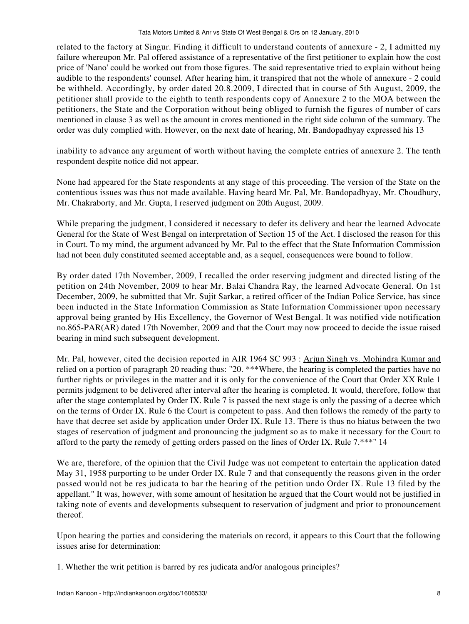related to the factory at Singur. Finding it difficult to understand contents of annexure - 2, I admitted my failure whereupon Mr. Pal offered assistance of a representative of the first petitioner to explain how the cost price of 'Nano' could be worked out from those figures. The said representative tried to explain without being audible to the respondents' counsel. After hearing him, it transpired that not the whole of annexure - 2 could be withheld. Accordingly, by order dated 20.8.2009, I directed that in course of 5th August, 2009, the petitioner shall provide to the eighth to tenth respondents copy of Annexure 2 to the MOA between the petitioners, the State and the Corporation without being obliged to furnish the figures of number of cars mentioned in clause 3 as well as the amount in crores mentioned in the right side column of the summary. The order was duly complied with. However, on the next date of hearing, Mr. Bandopadhyay expressed his 13

inability to advance any argument of worth without having the complete entries of annexure 2. The tenth respondent despite notice did not appear.

None had appeared for the State respondents at any stage of this proceeding. The version of the State on the contentious issues was thus not made available. Having heard Mr. Pal, Mr. Bandopadhyay, Mr. Choudhury, Mr. Chakraborty, and Mr. Gupta, I reserved judgment on 20th August, 2009.

While preparing the judgment, I considered it necessary to defer its delivery and hear the learned Advocate General for the State of West Bengal on interpretation of Section 15 of the Act. I disclosed the reason for this in Court. To my mind, the argument advanced by Mr. Pal to the effect that the State Information Commission had not been duly constituted seemed acceptable and, as a sequel, consequences were bound to follow.

By order dated 17th November, 2009, I recalled the order reserving judgment and directed listing of the petition on 24th November, 2009 to hear Mr. Balai Chandra Ray, the learned Advocate General. On 1st December, 2009, he submitted that Mr. Sujit Sarkar, a retired officer of the Indian Police Service, has since been inducted in the State Information Commission as State Information Commissioner upon necessary approval being granted by His Excellency, the Governor of West Bengal. It was notified vide notification no.865-PAR(AR) dated 17th November, 2009 and that the Court may now proceed to decide the issue raised bearing in mind such subsequent development.

Mr. Pal, however, cited the decision reported in AIR 1964 SC 993 : Arjun Singh vs. Mohindra Kumar and relied on a portion of paragraph 20 reading thus: "20. \*\*\*Where, the hearing is completed the parties have no further rights or privileges in the matter and it is only for the convenience of the Court that Order XX Rule 1 permits judgment to be delivered after interval after the hearing is completed. It would, therefore, follow that after the stage contemplated by Order IX. Rule 7 is passed the next stage is only the passing of a decree which on the terms of Order IX. Rule 6 the Court is competent to pass. And then follows the remedy of the party to have that decree set aside by application under Order IX. Rule 13. There is thus no hiatus between the two stages of reservation of judgment and pronouncing the judgment so as to make it necessary for the Court to afford to the party the remedy of getting orders passed on the lines of Order IX. Rule 7.\*\*\*" 14

We are, therefore, of the opinion that the Civil Judge was not competent to entertain the application dated May 31, 1958 purporting to be under Order IX. Rule 7 and that consequently the reasons given in the order passed would not be res judicata to bar the hearing of the petition undo Order IX. Rule 13 filed by the appellant." It was, however, with some amount of hesitation he argued that the Court would not be justified in taking note of events and developments subsequent to reservation of judgment and prior to pronouncement thereof.

Upon hearing the parties and considering the materials on record, it appears to this Court that the following issues arise for determination:

1. Whether the writ petition is barred by res judicata and/or analogous principles?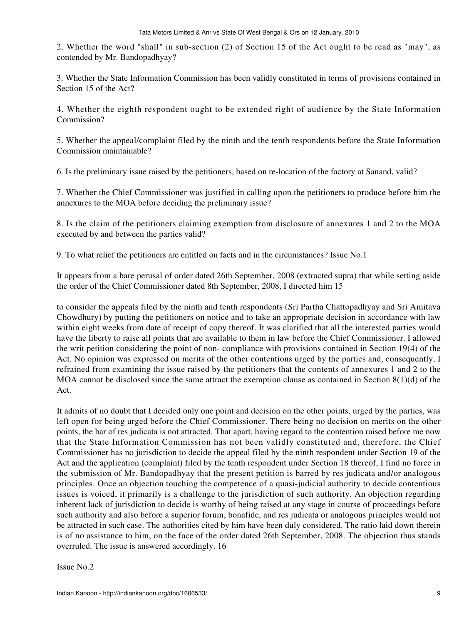2. Whether the word "shall" in sub-section (2) of Section 15 of the Act ought to be read as "may", as contended by Mr. Bandopadhyay?

3. Whether the State Information Commission has been validly constituted in terms of provisions contained in Section 15 of the Act?

4. Whether the eighth respondent ought to be extended right of audience by the State Information Commission?

5. Whether the appeal/complaint filed by the ninth and the tenth respondents before the State Information Commission maintainable?

6. Is the preliminary issue raised by the petitioners, based on re-location of the factory at Sanand, valid?

7. Whether the Chief Commissioner was justified in calling upon the petitioners to produce before him the annexures to the MOA before deciding the preliminary issue?

8. Is the claim of the petitioners claiming exemption from disclosure of annexures 1 and 2 to the MOA executed by and between the parties valid?

9. To what relief the petitioners are entitled on facts and in the circumstances? Issue No.1

It appears from a bare perusal of order dated 26th September, 2008 (extracted supra) that while setting aside the order of the Chief Commissioner dated 8th September, 2008, I directed him 15

to consider the appeals filed by the ninth and tenth respondents (Sri Partha Chattopadhyay and Sri Amitava Chowdhury) by putting the petitioners on notice and to take an appropriate decision in accordance with law within eight weeks from date of receipt of copy thereof. It was clarified that all the interested parties would have the liberty to raise all points that are available to them in law before the Chief Commissioner. I allowed the writ petition considering the point of non- compliance with provisions contained in Section 19(4) of the Act. No opinion was expressed on merits of the other contentions urged by the parties and, consequently, I refrained from examining the issue raised by the petitioners that the contents of annexures 1 and 2 to the MOA cannot be disclosed since the same attract the exemption clause as contained in Section 8(1)(d) of the Act.

It admits of no doubt that I decided only one point and decision on the other points, urged by the parties, was left open for being urged before the Chief Commissioner. There being no decision on merits on the other points, the bar of res judicata is not attracted. That apart, having regard to the contention raised before me now that the State Information Commission has not been validly constituted and, therefore, the Chief Commissioner has no jurisdiction to decide the appeal filed by the ninth respondent under Section 19 of the Act and the application (complaint) filed by the tenth respondent under Section 18 thereof, I find no force in the submission of Mr. Bandopadhyay that the present petition is barred by res judicata and/or analogous principles. Once an objection touching the competence of a quasi-judicial authority to decide contentious issues is voiced, it primarily is a challenge to the jurisdiction of such authority. An objection regarding inherent lack of jurisdiction to decide is worthy of being raised at any stage in course of proceedings before such authority and also before a superior forum, bonafide, and res judicata or analogous principles would not be attracted in such case. The authorities cited by him have been duly considered. The ratio laid down therein is of no assistance to him, on the face of the order dated 26th September, 2008. The objection thus stands overruled. The issue is answered accordingly. 16

Issue No.2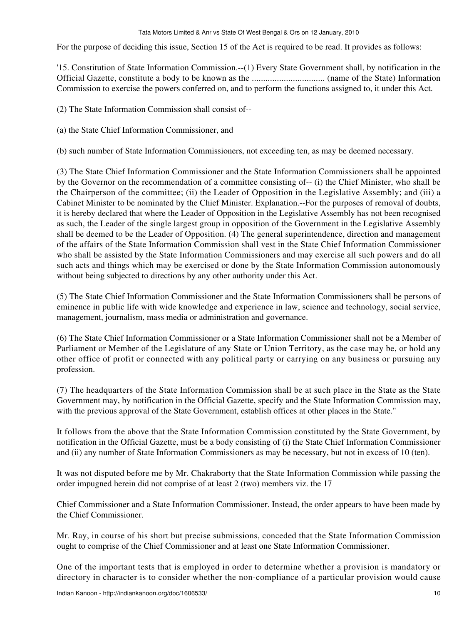For the purpose of deciding this issue, Section 15 of the Act is required to be read. It provides as follows:

'15. Constitution of State Information Commission.--(1) Every State Government shall, by notification in the Official Gazette, constitute a body to be known as the ................................ (name of the State) Information Commission to exercise the powers conferred on, and to perform the functions assigned to, it under this Act.

(2) The State Information Commission shall consist of--

(a) the State Chief Information Commissioner, and

(b) such number of State Information Commissioners, not exceeding ten, as may be deemed necessary.

(3) The State Chief Information Commissioner and the State Information Commissioners shall be appointed by the Governor on the recommendation of a committee consisting of-- (i) the Chief Minister, who shall be the Chairperson of the committee; (ii) the Leader of Opposition in the Legislative Assembly; and (iii) a Cabinet Minister to be nominated by the Chief Minister. Explanation.--For the purposes of removal of doubts, it is hereby declared that where the Leader of Opposition in the Legislative Assembly has not been recognised as such, the Leader of the single largest group in opposition of the Government in the Legislative Assembly shall be deemed to be the Leader of Opposition. (4) The general superintendence, direction and management of the affairs of the State Information Commission shall vest in the State Chief Information Commissioner who shall be assisted by the State Information Commissioners and may exercise all such powers and do all such acts and things which may be exercised or done by the State Information Commission autonomously without being subjected to directions by any other authority under this Act.

(5) The State Chief Information Commissioner and the State Information Commissioners shall be persons of eminence in public life with wide knowledge and experience in law, science and technology, social service, management, journalism, mass media or administration and governance.

(6) The State Chief Information Commissioner or a State Information Commissioner shall not be a Member of Parliament or Member of the Legislature of any State or Union Territory, as the case may be, or hold any other office of profit or connected with any political party or carrying on any business or pursuing any profession.

(7) The headquarters of the State Information Commission shall be at such place in the State as the State Government may, by notification in the Official Gazette, specify and the State Information Commission may, with the previous approval of the State Government, establish offices at other places in the State."

It follows from the above that the State Information Commission constituted by the State Government, by notification in the Official Gazette, must be a body consisting of (i) the State Chief Information Commissioner and (ii) any number of State Information Commissioners as may be necessary, but not in excess of 10 (ten).

It was not disputed before me by Mr. Chakraborty that the State Information Commission while passing the order impugned herein did not comprise of at least 2 (two) members viz. the 17

Chief Commissioner and a State Information Commissioner. Instead, the order appears to have been made by the Chief Commissioner.

Mr. Ray, in course of his short but precise submissions, conceded that the State Information Commission ought to comprise of the Chief Commissioner and at least one State Information Commissioner.

One of the important tests that is employed in order to determine whether a provision is mandatory or directory in character is to consider whether the non-compliance of a particular provision would cause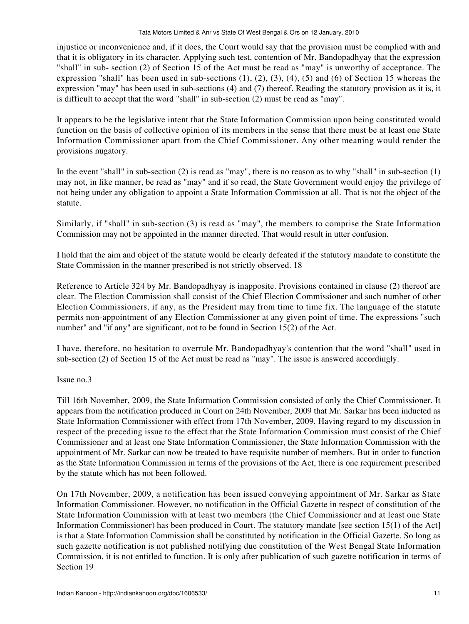injustice or inconvenience and, if it does, the Court would say that the provision must be complied with and that it is obligatory in its character. Applying such test, contention of Mr. Bandopadhyay that the expression "shall" in sub- section (2) of Section 15 of the Act must be read as "may" is unworthy of acceptance. The expression "shall" has been used in sub-sections  $(1)$ ,  $(2)$ ,  $(3)$ ,  $(4)$ ,  $(5)$  and  $(6)$  of Section 15 whereas the expression "may" has been used in sub-sections (4) and (7) thereof. Reading the statutory provision as it is, it is difficult to accept that the word "shall" in sub-section (2) must be read as "may".

It appears to be the legislative intent that the State Information Commission upon being constituted would function on the basis of collective opinion of its members in the sense that there must be at least one State Information Commissioner apart from the Chief Commissioner. Any other meaning would render the provisions nugatory.

In the event "shall" in sub-section (2) is read as "may", there is no reason as to why "shall" in sub-section (1) may not, in like manner, be read as "may" and if so read, the State Government would enjoy the privilege of not being under any obligation to appoint a State Information Commission at all. That is not the object of the statute.

Similarly, if "shall" in sub-section (3) is read as "may", the members to comprise the State Information Commission may not be appointed in the manner directed. That would result in utter confusion.

I hold that the aim and object of the statute would be clearly defeated if the statutory mandate to constitute the State Commission in the manner prescribed is not strictly observed. 18

Reference to Article 324 by Mr. Bandopadhyay is inapposite. Provisions contained in clause (2) thereof are clear. The Election Commission shall consist of the Chief Election Commissioner and such number of other Election Commissioners, if any, as the President may from time to time fix. The language of the statute permits non-appointment of any Election Commissioner at any given point of time. The expressions "such number" and "if any" are significant, not to be found in Section 15(2) of the Act.

I have, therefore, no hesitation to overrule Mr. Bandopadhyay's contention that the word "shall" used in sub-section (2) of Section 15 of the Act must be read as "may". The issue is answered accordingly.

Issue no.3

Till 16th November, 2009, the State Information Commission consisted of only the Chief Commissioner. It appears from the notification produced in Court on 24th November, 2009 that Mr. Sarkar has been inducted as State Information Commissioner with effect from 17th November, 2009. Having regard to my discussion in respect of the preceding issue to the effect that the State Information Commission must consist of the Chief Commissioner and at least one State Information Commissioner, the State Information Commission with the appointment of Mr. Sarkar can now be treated to have requisite number of members. But in order to function as the State Information Commission in terms of the provisions of the Act, there is one requirement prescribed by the statute which has not been followed.

On 17th November, 2009, a notification has been issued conveying appointment of Mr. Sarkar as State Information Commissioner. However, no notification in the Official Gazette in respect of constitution of the State Information Commission with at least two members (the Chief Commissioner and at least one State Information Commissioner) has been produced in Court. The statutory mandate [see section 15(1) of the Act] is that a State Information Commission shall be constituted by notification in the Official Gazette. So long as such gazette notification is not published notifying due constitution of the West Bengal State Information Commission, it is not entitled to function. It is only after publication of such gazette notification in terms of Section 19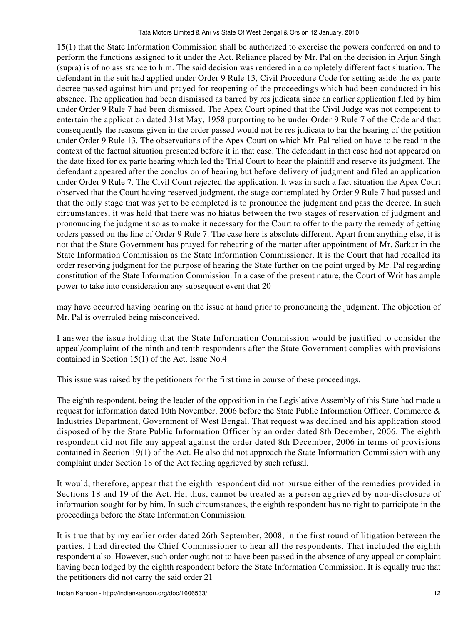15(1) that the State Information Commission shall be authorized to exercise the powers conferred on and to perform the functions assigned to it under the Act. Reliance placed by Mr. Pal on the decision in Arjun Singh (supra) is of no assistance to him. The said decision was rendered in a completely different fact situation. The defendant in the suit had applied under Order 9 Rule 13, Civil Procedure Code for setting aside the ex parte decree passed against him and prayed for reopening of the proceedings which had been conducted in his absence. The application had been dismissed as barred by res judicata since an earlier application filed by him under Order 9 Rule 7 had been dismissed. The Apex Court opined that the Civil Judge was not competent to entertain the application dated 31st May, 1958 purporting to be under Order 9 Rule 7 of the Code and that consequently the reasons given in the order passed would not be res judicata to bar the hearing of the petition under Order 9 Rule 13. The observations of the Apex Court on which Mr. Pal relied on have to be read in the context of the factual situation presented before it in that case. The defendant in that case had not appeared on the date fixed for ex parte hearing which led the Trial Court to hear the plaintiff and reserve its judgment. The defendant appeared after the conclusion of hearing but before delivery of judgment and filed an application under Order 9 Rule 7. The Civil Court rejected the application. It was in such a fact situation the Apex Court observed that the Court having reserved judgment, the stage contemplated by Order 9 Rule 7 had passed and that the only stage that was yet to be completed is to pronounce the judgment and pass the decree. In such circumstances, it was held that there was no hiatus between the two stages of reservation of judgment and pronouncing the judgment so as to make it necessary for the Court to offer to the party the remedy of getting orders passed on the line of Order 9 Rule 7. The case here is absolute different. Apart from anything else, it is not that the State Government has prayed for rehearing of the matter after appointment of Mr. Sarkar in the State Information Commission as the State Information Commissioner. It is the Court that had recalled its order reserving judgment for the purpose of hearing the State further on the point urged by Mr. Pal regarding constitution of the State Information Commission. In a case of the present nature, the Court of Writ has ample power to take into consideration any subsequent event that 20

may have occurred having bearing on the issue at hand prior to pronouncing the judgment. The objection of Mr. Pal is overruled being misconceived.

I answer the issue holding that the State Information Commission would be justified to consider the appeal/complaint of the ninth and tenth respondents after the State Government complies with provisions contained in Section 15(1) of the Act. Issue No.4

This issue was raised by the petitioners for the first time in course of these proceedings.

The eighth respondent, being the leader of the opposition in the Legislative Assembly of this State had made a request for information dated 10th November, 2006 before the State Public Information Officer, Commerce & Industries Department, Government of West Bengal. That request was declined and his application stood disposed of by the State Public Information Officer by an order dated 8th December, 2006. The eighth respondent did not file any appeal against the order dated 8th December, 2006 in terms of provisions contained in Section 19(1) of the Act. He also did not approach the State Information Commission with any complaint under Section 18 of the Act feeling aggrieved by such refusal.

It would, therefore, appear that the eighth respondent did not pursue either of the remedies provided in Sections 18 and 19 of the Act. He, thus, cannot be treated as a person aggrieved by non-disclosure of information sought for by him. In such circumstances, the eighth respondent has no right to participate in the proceedings before the State Information Commission.

It is true that by my earlier order dated 26th September, 2008, in the first round of litigation between the parties, I had directed the Chief Commissioner to hear all the respondents. That included the eighth respondent also. However, such order ought not to have been passed in the absence of any appeal or complaint having been lodged by the eighth respondent before the State Information Commission. It is equally true that the petitioners did not carry the said order 21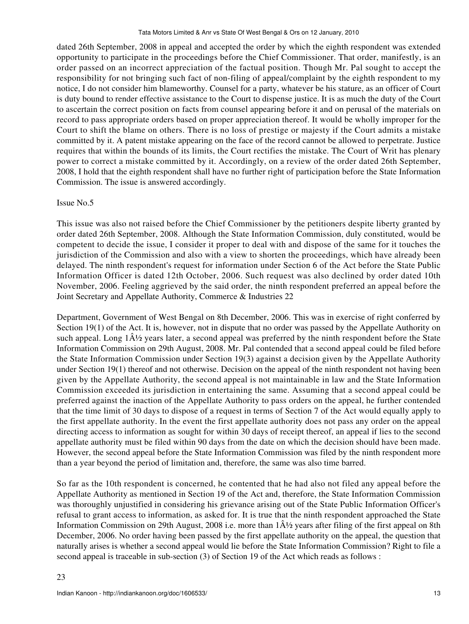dated 26th September, 2008 in appeal and accepted the order by which the eighth respondent was extended opportunity to participate in the proceedings before the Chief Commissioner. That order, manifestly, is an order passed on an incorrect appreciation of the factual position. Though Mr. Pal sought to accept the responsibility for not bringing such fact of non-filing of appeal/complaint by the eighth respondent to my notice, I do not consider him blameworthy. Counsel for a party, whatever be his stature, as an officer of Court is duty bound to render effective assistance to the Court to dispense justice. It is as much the duty of the Court to ascertain the correct position on facts from counsel appearing before it and on perusal of the materials on record to pass appropriate orders based on proper appreciation thereof. It would be wholly improper for the Court to shift the blame on others. There is no loss of prestige or majesty if the Court admits a mistake committed by it. A patent mistake appearing on the face of the record cannot be allowed to perpetrate. Justice requires that within the bounds of its limits, the Court rectifies the mistake. The Court of Writ has plenary power to correct a mistake committed by it. Accordingly, on a review of the order dated 26th September, 2008, I hold that the eighth respondent shall have no further right of participation before the State Information Commission. The issue is answered accordingly.

## Issue No.5

This issue was also not raised before the Chief Commissioner by the petitioners despite liberty granted by order dated 26th September, 2008. Although the State Information Commission, duly constituted, would be competent to decide the issue, I consider it proper to deal with and dispose of the same for it touches the jurisdiction of the Commission and also with a view to shorten the proceedings, which have already been delayed. The ninth respondent's request for information under Section 6 of the Act before the State Public Information Officer is dated 12th October, 2006. Such request was also declined by order dated 10th November, 2006. Feeling aggrieved by the said order, the ninth respondent preferred an appeal before the Joint Secretary and Appellate Authority, Commerce & Industries 22

Department, Government of West Bengal on 8th December, 2006. This was in exercise of right conferred by Section 19(1) of the Act. It is, however, not in dispute that no order was passed by the Appellate Authority on such appeal. Long  $1\hat{A}\frac{1}{2}$  years later, a second appeal was preferred by the ninth respondent before the State Information Commission on 29th August, 2008. Mr. Pal contended that a second appeal could be filed before the State Information Commission under Section 19(3) against a decision given by the Appellate Authority under Section 19(1) thereof and not otherwise. Decision on the appeal of the ninth respondent not having been given by the Appellate Authority, the second appeal is not maintainable in law and the State Information Commission exceeded its jurisdiction in entertaining the same. Assuming that a second appeal could be preferred against the inaction of the Appellate Authority to pass orders on the appeal, he further contended that the time limit of 30 days to dispose of a request in terms of Section 7 of the Act would equally apply to the first appellate authority. In the event the first appellate authority does not pass any order on the appeal directing access to information as sought for within 30 days of receipt thereof, an appeal if lies to the second appellate authority must be filed within 90 days from the date on which the decision should have been made. However, the second appeal before the State Information Commission was filed by the ninth respondent more than a year beyond the period of limitation and, therefore, the same was also time barred.

So far as the 10th respondent is concerned, he contented that he had also not filed any appeal before the Appellate Authority as mentioned in Section 19 of the Act and, therefore, the State Information Commission was thoroughly unjustified in considering his grievance arising out of the State Public Information Officer's refusal to grant access to information, as asked for. It is true that the ninth respondent approached the State Information Commission on 29th August, 2008 i.e. more than  $1\hat{A}/2$  years after filing of the first appeal on 8th December, 2006. No order having been passed by the first appellate authority on the appeal, the question that naturally arises is whether a second appeal would lie before the State Information Commission? Right to file a second appeal is traceable in sub-section (3) of Section 19 of the Act which reads as follows :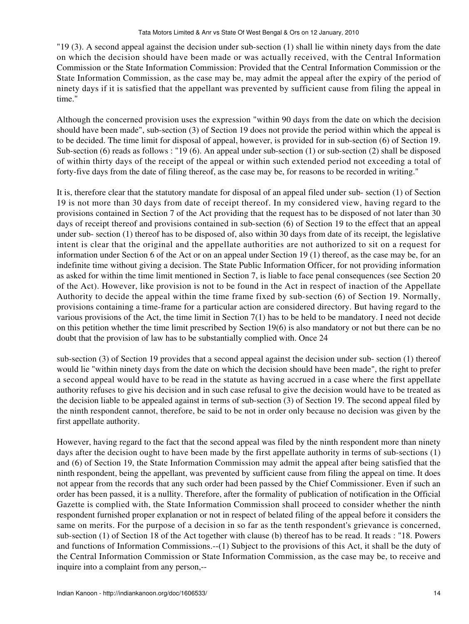"19 (3). A second appeal against the decision under sub-section (1) shall lie within ninety days from the date on which the decision should have been made or was actually received, with the Central Information Commission or the State Information Commission: Provided that the Central Information Commission or the State Information Commission, as the case may be, may admit the appeal after the expiry of the period of ninety days if it is satisfied that the appellant was prevented by sufficient cause from filing the appeal in time."

Although the concerned provision uses the expression "within 90 days from the date on which the decision should have been made", sub-section (3) of Section 19 does not provide the period within which the appeal is to be decided. The time limit for disposal of appeal, however, is provided for in sub-section (6) of Section 19. Sub-section (6) reads as follows : "19 (6). An appeal under sub-section (1) or sub-section (2) shall be disposed of within thirty days of the receipt of the appeal or within such extended period not exceeding a total of forty-five days from the date of filing thereof, as the case may be, for reasons to be recorded in writing."

It is, therefore clear that the statutory mandate for disposal of an appeal filed under sub- section (1) of Section 19 is not more than 30 days from date of receipt thereof. In my considered view, having regard to the provisions contained in Section 7 of the Act providing that the request has to be disposed of not later than 30 days of receipt thereof and provisions contained in sub-section (6) of Section 19 to the effect that an appeal under sub- section (1) thereof has to be disposed of, also within 30 days from date of its receipt, the legislative intent is clear that the original and the appellate authorities are not authorized to sit on a request for information under Section 6 of the Act or on an appeal under Section 19 (1) thereof, as the case may be, for an indefinite time without giving a decision. The State Public Information Officer, for not providing information as asked for within the time limit mentioned in Section 7, is liable to face penal consequences (see Section 20 of the Act). However, like provision is not to be found in the Act in respect of inaction of the Appellate Authority to decide the appeal within the time frame fixed by sub-section (6) of Section 19. Normally, provisions containing a time-frame for a particular action are considered directory. But having regard to the various provisions of the Act, the time limit in Section 7(1) has to be held to be mandatory. I need not decide on this petition whether the time limit prescribed by Section 19(6) is also mandatory or not but there can be no doubt that the provision of law has to be substantially complied with. Once 24

sub-section (3) of Section 19 provides that a second appeal against the decision under sub- section (1) thereof would lie "within ninety days from the date on which the decision should have been made", the right to prefer a second appeal would have to be read in the statute as having accrued in a case where the first appellate authority refuses to give his decision and in such case refusal to give the decision would have to be treated as the decision liable to be appealed against in terms of sub-section (3) of Section 19. The second appeal filed by the ninth respondent cannot, therefore, be said to be not in order only because no decision was given by the first appellate authority.

However, having regard to the fact that the second appeal was filed by the ninth respondent more than ninety days after the decision ought to have been made by the first appellate authority in terms of sub-sections (1) and (6) of Section 19, the State Information Commission may admit the appeal after being satisfied that the ninth respondent, being the appellant, was prevented by sufficient cause from filing the appeal on time. It does not appear from the records that any such order had been passed by the Chief Commissioner. Even if such an order has been passed, it is a nullity. Therefore, after the formality of publication of notification in the Official Gazette is complied with, the State Information Commission shall proceed to consider whether the ninth respondent furnished proper explanation or not in respect of belated filing of the appeal before it considers the same on merits. For the purpose of a decision in so far as the tenth respondent's grievance is concerned, sub-section (1) of Section 18 of the Act together with clause (b) thereof has to be read. It reads : "18. Powers and functions of Information Commissions.--(1) Subject to the provisions of this Act, it shall be the duty of the Central Information Commission or State Information Commission, as the case may be, to receive and inquire into a complaint from any person,--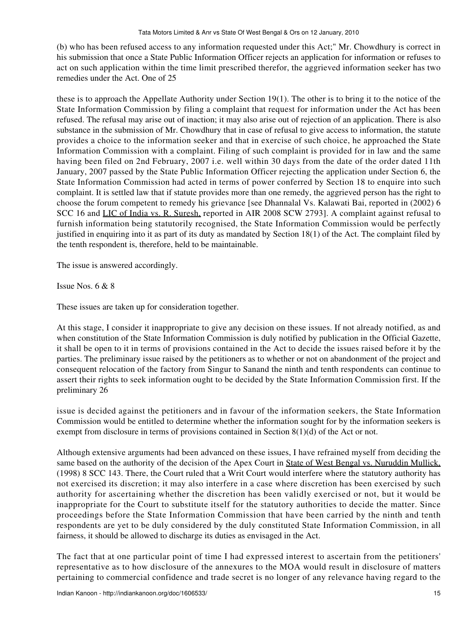(b) who has been refused access to any information requested under this Act;" Mr. Chowdhury is correct in his submission that once a State Public Information Officer rejects an application for information or refuses to act on such application within the time limit prescribed therefor, the aggrieved information seeker has two remedies under the Act. One of 25

these is to approach the Appellate Authority under Section 19(1). The other is to bring it to the notice of the State Information Commission by filing a complaint that request for information under the Act has been refused. The refusal may arise out of inaction; it may also arise out of rejection of an application. There is also substance in the submission of Mr. Chowdhury that in case of refusal to give access to information, the statute provides a choice to the information seeker and that in exercise of such choice, he approached the State Information Commission with a complaint. Filing of such complaint is provided for in law and the same having been filed on 2nd February, 2007 i.e. well within 30 days from the date of the order dated 11th January, 2007 passed by the State Public Information Officer rejecting the application under Section 6, the State Information Commission had acted in terms of power conferred by Section 18 to enquire into such complaint. It is settled law that if statute provides more than one remedy, the aggrieved person has the right to choose the forum competent to remedy his grievance [see Dhannalal Vs. Kalawati Bai, reported in (2002) 6 SCC 16 and LIC of India vs. R. Suresh, reported in AIR 2008 SCW 2793]. A complaint against refusal to furnish information being statutorily recognised, the State Information Commission would be perfectly justified in enquiring into it as part of its duty as mandated by Section 18(1) of the Act. The complaint filed by the tenth respondent is, therefore, held to be maintainable.

The issue is answered accordingly.

Issue Nos. 6 & 8

These issues are taken up for consideration together.

At this stage, I consider it inappropriate to give any decision on these issues. If not already notified, as and when constitution of the State Information Commission is duly notified by publication in the Official Gazette, it shall be open to it in terms of provisions contained in the Act to decide the issues raised before it by the parties. The preliminary issue raised by the petitioners as to whether or not on abandonment of the project and consequent relocation of the factory from Singur to Sanand the ninth and tenth respondents can continue to assert their rights to seek information ought to be decided by the State Information Commission first. If the preliminary 26

issue is decided against the petitioners and in favour of the information seekers, the State Information Commission would be entitled to determine whether the information sought for by the information seekers is exempt from disclosure in terms of provisions contained in Section 8(1)(d) of the Act or not.

Although extensive arguments had been advanced on these issues, I have refrained myself from deciding the same based on the authority of the decision of the Apex Court in State of West Bengal vs. Nuruddin Mullick, (1998) 8 SCC 143. There, the Court ruled that a Writ Court would interfere where the statutory authority has not exercised its discretion; it may also interfere in a case where discretion has been exercised by such authority for ascertaining whether the discretion has been validly exercised or not, but it would be inappropriate for the Court to substitute itself for the statutory authorities to decide the matter. Since proceedings before the State Information Commission that have been carried by the ninth and tenth respondents are yet to be duly considered by the duly constituted State Information Commission, in all fairness, it should be allowed to discharge its duties as envisaged in the Act.

The fact that at one particular point of time I had expressed interest to ascertain from the petitioners' representative as to how disclosure of the annexures to the MOA would result in disclosure of matters pertaining to commercial confidence and trade secret is no longer of any relevance having regard to the